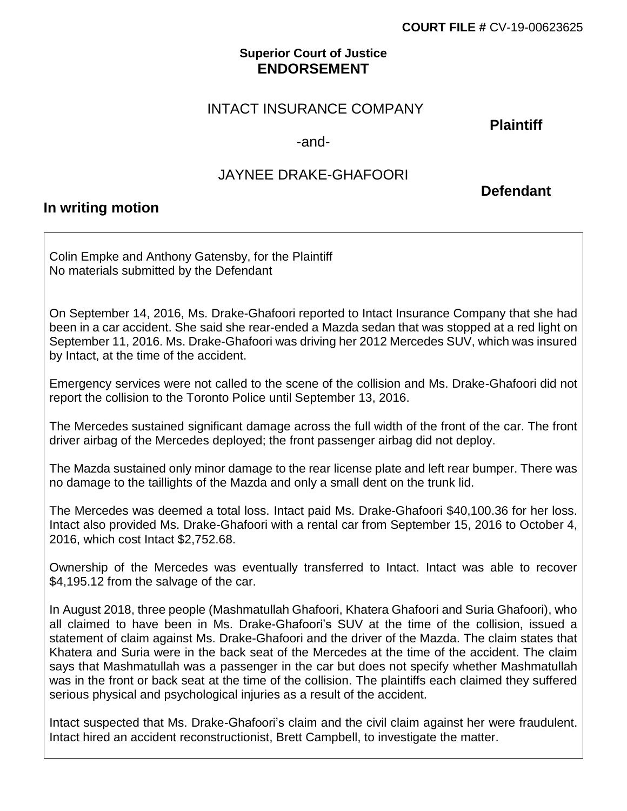### **Superior Court of Justice ENDORSEMENT**

## INTACT INSURANCE COMPANY

**Plaintiff**

#### -and-

# JAYNEE DRAKE-GHAFOORI

 **Defendant**

## **In writing motion**

Colin Empke and Anthony Gatensby, for the Plaintiff No materials submitted by the Defendant

On September 14, 2016, Ms. Drake-Ghafoori reported to Intact Insurance Company that she had been in a car accident. She said she rear-ended a Mazda sedan that was stopped at a red light on September 11, 2016. Ms. Drake-Ghafoori was driving her 2012 Mercedes SUV, which was insured by Intact, at the time of the accident.

Emergency services were not called to the scene of the collision and Ms. Drake-Ghafoori did not report the collision to the Toronto Police until September 13, 2016.

The Mercedes sustained significant damage across the full width of the front of the car. The front driver airbag of the Mercedes deployed; the front passenger airbag did not deploy.

The Mazda sustained only minor damage to the rear license plate and left rear bumper. There was no damage to the taillights of the Mazda and only a small dent on the trunk lid.

The Mercedes was deemed a total loss. Intact paid Ms. Drake-Ghafoori \$40,100.36 for her loss. Intact also provided Ms. Drake-Ghafoori with a rental car from September 15, 2016 to October 4, 2016, which cost Intact \$2,752.68.

Ownership of the Mercedes was eventually transferred to Intact. Intact was able to recover \$4,195.12 from the salvage of the car.

In August 2018, three people (Mashmatullah Ghafoori, Khatera Ghafoori and Suria Ghafoori), who all claimed to have been in Ms. Drake-Ghafoori's SUV at the time of the collision, issued a statement of claim against Ms. Drake-Ghafoori and the driver of the Mazda. The claim states that Khatera and Suria were in the back seat of the Mercedes at the time of the accident. The claim says that Mashmatullah was a passenger in the car but does not specify whether Mashmatullah was in the front or back seat at the time of the collision. The plaintiffs each claimed they suffered serious physical and psychological injuries as a result of the accident.

Intact suspected that Ms. Drake-Ghafoori's claim and the civil claim against her were fraudulent. Intact hired an accident reconstructionist, Brett Campbell, to investigate the matter.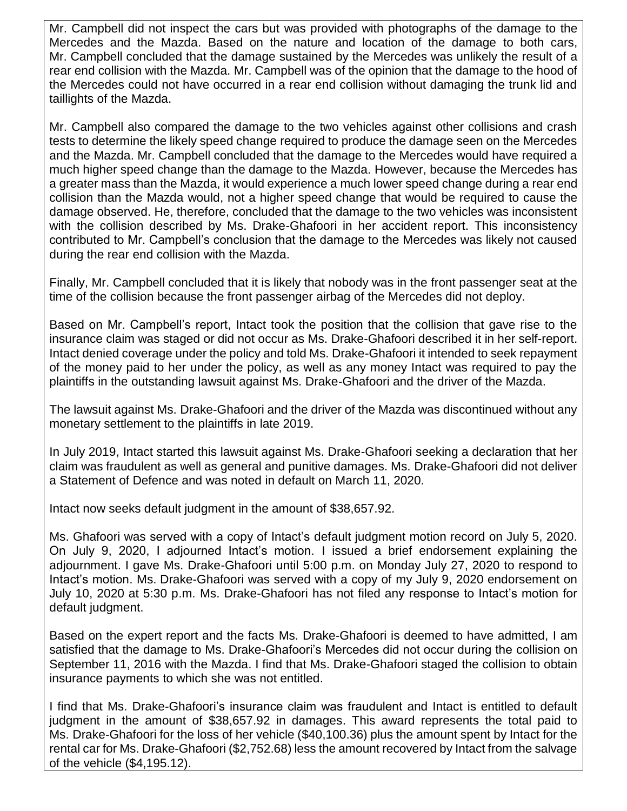Mr. Campbell did not inspect the cars but was provided with photographs of the damage to the Mercedes and the Mazda. Based on the nature and location of the damage to both cars, Mr. Campbell concluded that the damage sustained by the Mercedes was unlikely the result of a rear end collision with the Mazda. Mr. Campbell was of the opinion that the damage to the hood of the Mercedes could not have occurred in a rear end collision without damaging the trunk lid and taillights of the Mazda.

Mr. Campbell also compared the damage to the two vehicles against other collisions and crash tests to determine the likely speed change required to produce the damage seen on the Mercedes and the Mazda. Mr. Campbell concluded that the damage to the Mercedes would have required a much higher speed change than the damage to the Mazda. However, because the Mercedes has a greater mass than the Mazda, it would experience a much lower speed change during a rear end collision than the Mazda would, not a higher speed change that would be required to cause the damage observed. He, therefore, concluded that the damage to the two vehicles was inconsistent with the collision described by Ms. Drake-Ghafoori in her accident report. This inconsistency contributed to Mr. Campbell's conclusion that the damage to the Mercedes was likely not caused during the rear end collision with the Mazda.

Finally, Mr. Campbell concluded that it is likely that nobody was in the front passenger seat at the time of the collision because the front passenger airbag of the Mercedes did not deploy.

Based on Mr. Campbell's report, Intact took the position that the collision that gave rise to the insurance claim was staged or did not occur as Ms. Drake-Ghafoori described it in her self-report. Intact denied coverage under the policy and told Ms. Drake-Ghafoori it intended to seek repayment of the money paid to her under the policy, as well as any money Intact was required to pay the plaintiffs in the outstanding lawsuit against Ms. Drake-Ghafoori and the driver of the Mazda.

The lawsuit against Ms. Drake-Ghafoori and the driver of the Mazda was discontinued without any monetary settlement to the plaintiffs in late 2019.

In July 2019, Intact started this lawsuit against Ms. Drake-Ghafoori seeking a declaration that her claim was fraudulent as well as general and punitive damages. Ms. Drake-Ghafoori did not deliver a Statement of Defence and was noted in default on March 11, 2020.

Intact now seeks default judgment in the amount of \$38,657.92.

Ms. Ghafoori was served with a copy of Intact's default judgment motion record on July 5, 2020. On July 9, 2020, I adjourned Intact's motion. I issued a brief endorsement explaining the adjournment. I gave Ms. Drake-Ghafoori until 5:00 p.m. on Monday July 27, 2020 to respond to Intact's motion. Ms. Drake-Ghafoori was served with a copy of my July 9, 2020 endorsement on July 10, 2020 at 5:30 p.m. Ms. Drake-Ghafoori has not filed any response to Intact's motion for default judgment.

Based on the expert report and the facts Ms. Drake-Ghafoori is deemed to have admitted, I am satisfied that the damage to Ms. Drake-Ghafoori's Mercedes did not occur during the collision on September 11, 2016 with the Mazda. I find that Ms. Drake-Ghafoori staged the collision to obtain insurance payments to which she was not entitled.

I find that Ms. Drake-Ghafoori's insurance claim was fraudulent and Intact is entitled to default judgment in the amount of \$38,657.92 in damages. This award represents the total paid to Ms. Drake-Ghafoori for the loss of her vehicle (\$40,100.36) plus the amount spent by Intact for the rental car for Ms. Drake-Ghafoori (\$2,752.68) less the amount recovered by Intact from the salvage of the vehicle (\$4,195.12).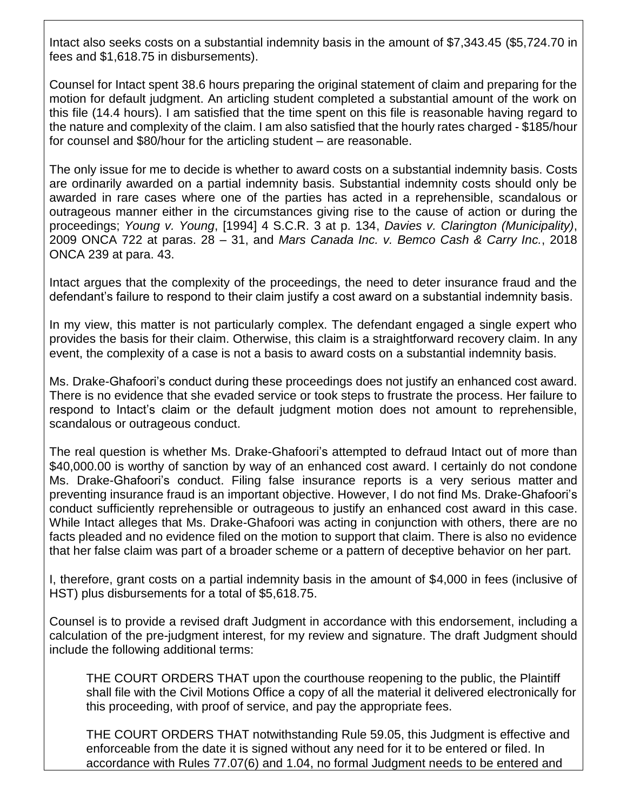Intact also seeks costs on a substantial indemnity basis in the amount of \$7,343.45 (\$5,724.70 in fees and \$1,618.75 in disbursements).

Counsel for Intact spent 38.6 hours preparing the original statement of claim and preparing for the motion for default judgment. An articling student completed a substantial amount of the work on this file (14.4 hours). I am satisfied that the time spent on this file is reasonable having regard to the nature and complexity of the claim. I am also satisfied that the hourly rates charged - \$185/hour for counsel and \$80/hour for the articling student – are reasonable.

The only issue for me to decide is whether to award costs on a substantial indemnity basis. Costs are ordinarily awarded on a partial indemnity basis. Substantial indemnity costs should only be awarded in rare cases where one of the parties has acted in a reprehensible, scandalous or outrageous manner either in the circumstances giving rise to the cause of action or during the proceedings; *Young v. Young*, [1994] 4 S.C.R. 3 at p. 134, *Davies v. Clarington (Municipality)*, 2009 ONCA 722 at paras. 28 – 31, and *Mars Canada Inc. v. Bemco Cash & Carry Inc.*, 2018 ONCA 239 at para. 43.

Intact argues that the complexity of the proceedings, the need to deter insurance fraud and the defendant's failure to respond to their claim justify a cost award on a substantial indemnity basis.

In my view, this matter is not particularly complex. The defendant engaged a single expert who provides the basis for their claim. Otherwise, this claim is a straightforward recovery claim. In any event, the complexity of a case is not a basis to award costs on a substantial indemnity basis.

Ms. Drake-Ghafoori's conduct during these proceedings does not justify an enhanced cost award. There is no evidence that she evaded service or took steps to frustrate the process. Her failure to respond to Intact's claim or the default judgment motion does not amount to reprehensible, scandalous or outrageous conduct.

The real question is whether Ms. Drake-Ghafoori's attempted to defraud Intact out of more than \$40,000.00 is worthy of sanction by way of an enhanced cost award. I certainly do not condone Ms. Drake-Ghafoori's conduct. Filing false insurance reports is a very serious matter and preventing insurance fraud is an important objective. However, I do not find Ms. Drake-Ghafoori's conduct sufficiently reprehensible or outrageous to justify an enhanced cost award in this case. While Intact alleges that Ms. Drake-Ghafoori was acting in conjunction with others, there are no facts pleaded and no evidence filed on the motion to support that claim. There is also no evidence that her false claim was part of a broader scheme or a pattern of deceptive behavior on her part.

I, therefore, grant costs on a partial indemnity basis in the amount of \$4,000 in fees (inclusive of HST) plus disbursements for a total of \$5,618.75.

Counsel is to provide a revised draft Judgment in accordance with this endorsement, including a calculation of the pre-judgment interest, for my review and signature. The draft Judgment should include the following additional terms:

THE COURT ORDERS THAT upon the courthouse reopening to the public, the Plaintiff shall file with the Civil Motions Office a copy of all the material it delivered electronically for this proceeding, with proof of service, and pay the appropriate fees.

THE COURT ORDERS THAT notwithstanding Rule 59.05, this Judgment is effective and enforceable from the date it is signed without any need for it to be entered or filed. In accordance with Rules 77.07(6) and 1.04, no formal Judgment needs to be entered and